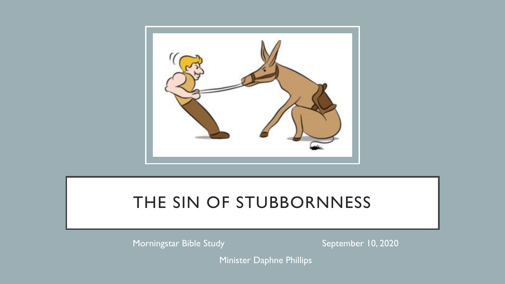

### THE SIN OF STUBBORNNESS

Morningstar Bible Study September 10, 2020

Minister Daphne Phillips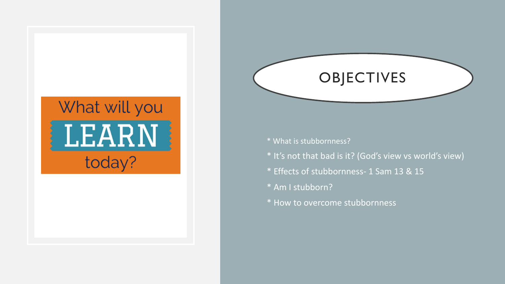# What will you **LEARN** today?

- \* What is stubbornness?
- \* It's not that bad is it? (God's view vs world's view)

**OBJECTIVES** 

- \* Effects of stubbornness- 1 Sam 13 & 15
- \* Am I stubborn?
- \* How to overcome stubbornness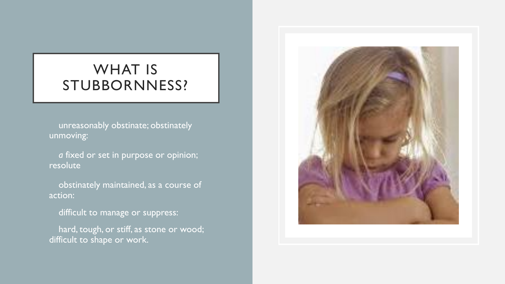#### WHAT IS STUBBORNNESS?

unreasonably obstinate; obstinately unmoving:

a fixed or set in purpose or opinion; resolute

• obstinately maintained, as a course of action:

difficult to manage or suppress:

hard, tough, or stiff, as stone or wood; difficult to shape or work.

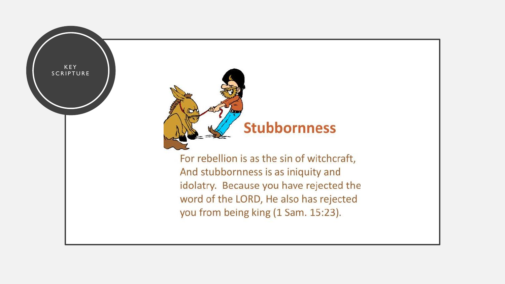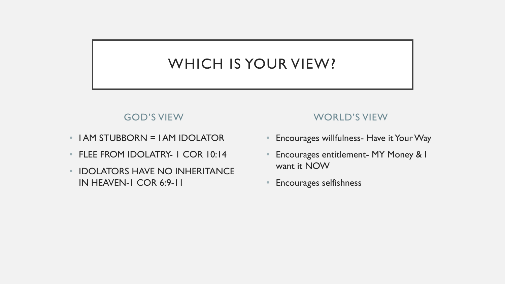### WHICH IS YOUR VIEW?

#### GOD'S VIEW

- I AM STUBBORN = I AM IDOLATOR
- FLEE FROM IDOLATRY- 1 COR 10:14
- IDOLATORS HAVE NO INHERITANCE IN HEAVEN-1 COR 6:9-11

#### WORLD'S VIEW

- Encourages willfulness- Have it Your Way
- Encourages entitlement- MY Money & I want it NOW
- Encourages selfishness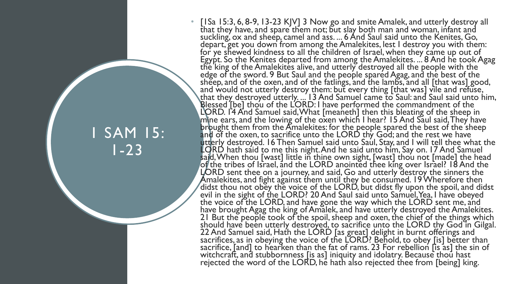### 1 SAM 15: 1-23

• [ISa 15:3, 6, 8-9, 13-23 KJV] 3 Now go and smite Amalek, and utterly destroy all that they have, and spare them not; but slay both man and woman, infant and suckling, ox and sheep, camel and ass. ... 6 And Saul said unto the Kenites, Go, depart, get you down from among the Amalekites, lest I destroy you with them: for ye shewed kindness to all the children of Israel, when they came up out of Egypt. So the Kenites departed from among the Amalekites. ... 8 And he took Agag the king of the Amalekites alive, and utterly destroyed all the people with the edge of the sword. 9 But Saul and the people spared Agag, and the best of the sheep, and of the oxen, and of the fatlings, and the lambs, and all [that was] good, and would not utterly destroy them: but every thing [that was] vile and refuse, that they destroyed utterly. ... 13 And Samuel came to Saul: and Saul said unto him, Blessed [be] thou of the LORD: I have performed the commandment of the LORD. 14 And Samuel said, What [meaneth] then this bleating of the sheep in mine ears, and the lowing of the oxen which I hear? 15 And Saul said, They have  $b$ r $b$ ught them from the  $\tilde{A}$ malekites: for the people spared the best of the sheep and of the oxen, to sacrifice unto the LORD thy God; and the rest we have utterly destroyed. 16 Then Samuel said unto Saul, Stay, and I will tell thee what the LORD hath said to me this night. And he said unto him, Say on. 17 And Samuel said, When thou [wast] little in thine own sight, [wast] thou not [made] the head of the tribes of Israel, and the LORD anointed thee king over Israel? 18 And the LORD sent thee on a journey, and said, Go and utterly destroy the sinners the Amalekites, and fight against them until they be consumed. 19 Wherefore then didst thou not obey the voice of the LORD, but didst fly upon the spoil, and didst evil in the sight of the LORD? 20 And Saul said unto Samuel, Yea, I have obeyed the voice of the LORD, and have gone the way which the LORD sent me, and have brought Agag the king of Amalek, and have utterly destroyed the Amalekites. 21 But the people took of the spoil, sheep and oxen, the chief of the things which should have been utterly destroyed, to sacrifice unto the LORD thy God in Gilgal. 22 And Samuel said, Hath the LORD [as great] delight in burnt offerings and sacrifices, as in obeying the voice of the LORD? Behold, to obey [is] better than sacrifice, [and] to hearken than the fat of rams. 23 For rebellion [is as] the sin of witchcraft, and stubbornness [is as] iniquity and idolatry. Because thou hast rejected the word of the LORD, he hath also rejected thee from [being] king.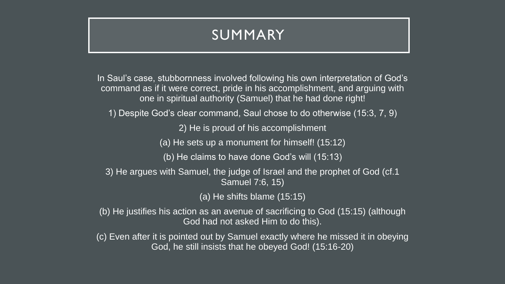#### SUMMARY

In Saul's case, stubbornness involved following his own interpretation of God's command as if it were correct, pride in his accomplishment, and arguing with one in spiritual authority (Samuel) that he had done right!

1) Despite God's clear command, Saul chose to do otherwise (15:3, 7, 9)

2) He is proud of his accomplishment

(a) He sets up a monument for himself! (15:12)

(b) He claims to have done God's will (15:13)

3) He argues with Samuel, the judge of Israel and the prophet of God (cf.1 Samuel 7:6, 15)

(a) He shifts blame (15:15)

(b) He justifies his action as an avenue of sacrificing to God (15:15) (although God had not asked Him to do this).

(c) Even after it is pointed out by Samuel exactly where he missed it in obeying God, he still insists that he obeyed God! (15:16-20)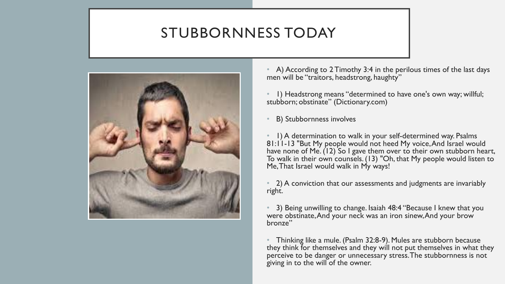#### STUBBORNNESS TODAY



• A) According to 2 Timothy 3:4 in the perilous times of the last days men will be "traitors, headstrong, haughty"

• 1) Headstrong means "determined to have one's own way; willful; stubborn; obstinate" (Dictionary.com)

• B) Stubbornness involves

• 1) A determination to walk in your self-determined way. Psalms 81:11-13 "But My people would not heed My voice, And Israel would have none of Me. (12) So I gave them over to their own stubborn heart, To walk in their own counsels. (13) "Oh, that My people would listen to Me, That Israel would walk in My ways!

• 2) A conviction that our assessments and judgments are invariably right.

• 3) Being unwilling to change. Isaiah 48:4 "Because I knew that you were obstinate, And your neck was an iron sinew, And your brow bronze"

• Thinking like a mule. (Psalm 32:8-9). Mules are stubborn because they think for themselves and they will not put themselves in what they perceive to be danger or unnecessary stress. The stubbornness is not giving in to the will of the owner.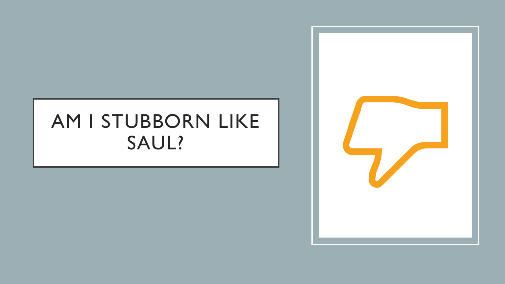## AM I STUBBORN LIKE SAUL?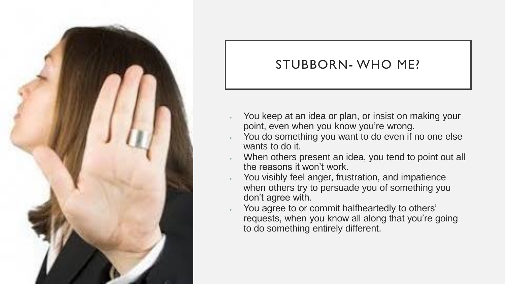

#### STUBBORN- WHO ME?

- You keep at an idea or plan, or insist on making your point, even when you know you're wrong.
- You do something you want to do even if no one else wants to do it.
- When others present an idea, you tend to point out all the reasons it won't work.
- You visibly feel anger, frustration, and impatience when others try to persuade you of something you don't agree with.
- You agree to or commit halfheartedly to others' requests, when you know all along that you're going to do something entirely different.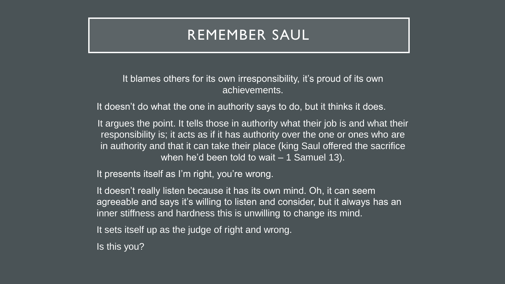#### REMEMBER SAUL

It blames others for its own irresponsibility, it's proud of its own achievements.

It doesn't do what the one in authority says to do, but it thinks it does.

It argues the point. It tells those in authority what their job is and what their responsibility is; it acts as if it has authority over the one or ones who are in authority and that it can take their place (king Saul offered the sacrifice when he'd been told to wait – 1 Samuel 13).

It presents itself as I'm right, you're wrong.

It doesn't really listen because it has its own mind. Oh, it can seem agreeable and says it's willing to listen and consider, but it always has an inner stiffness and hardness this is unwilling to change its mind.

It sets itself up as the judge of right and wrong.

Is this you?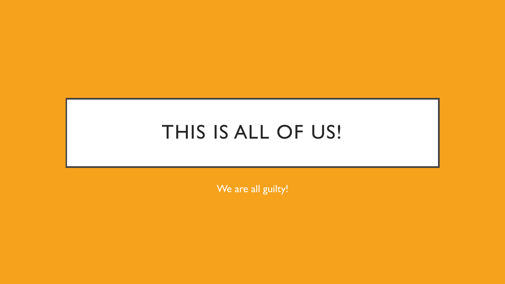## THIS IS ALL OF US!

We are all guilty!